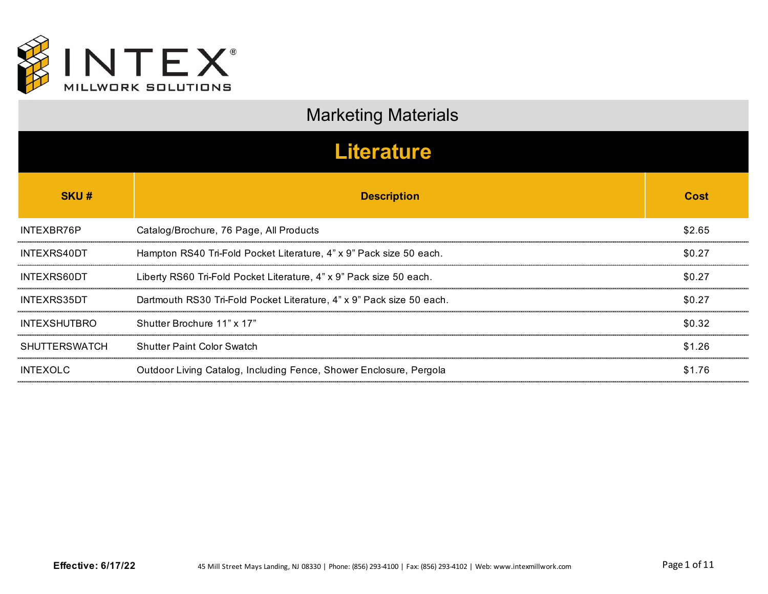

| <b>Marketing Materials</b> |                                                                       |             |
|----------------------------|-----------------------------------------------------------------------|-------------|
| <b>Literature</b>          |                                                                       |             |
| <b>SKU#</b>                | <b>Description</b>                                                    | <b>Cost</b> |
| INTEXBR76P                 | Catalog/Brochure, 76 Page, All Products                               | \$2.65      |
| INTEXRS40DT                | Hampton RS40 Tri-Fold Pocket Literature, 4" x 9" Pack size 50 each.   | \$0.27      |
| INTEXRS60DT                | Liberty RS60 Tri-Fold Pocket Literature, 4" x 9" Pack size 50 each.   | \$0.27      |
| INTEXRS35DT                | Dartmouth RS30 Tri-Fold Pocket Literature, 4" x 9" Pack size 50 each. | \$0.27      |
| <b>INTEXSHUTBRO</b>        | Shutter Brochure 11" x 17"                                            | \$0.32      |
| <b>SHUTTERSWATCH</b>       | <b>Shutter Paint Color Swatch</b>                                     | \$1.26      |
| <b>INTEXOLC</b>            | Outdoor Living Catalog, Including Fence, Shower Enclosure, Pergola    | \$1.76      |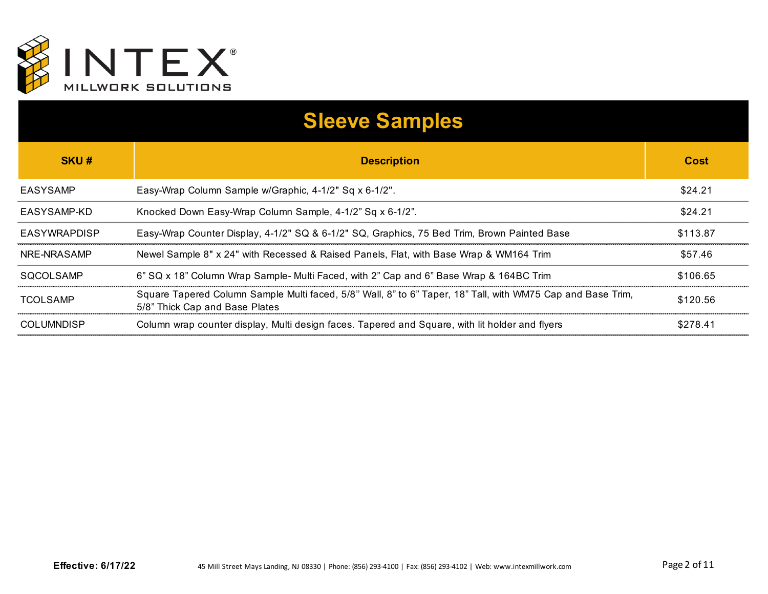

| <b>Sleeve Samples</b> |                                                                                                                                               |          |
|-----------------------|-----------------------------------------------------------------------------------------------------------------------------------------------|----------|
| SKU#                  | <b>Description</b>                                                                                                                            | Cost     |
| EASYSAMP              | Easy-Wrap Column Sample w/Graphic, 4-1/2" Sq x 6-1/2".                                                                                        | \$24.21  |
| EASYSAMP-KD           | Knocked Down Easy-Wrap Column Sample, 4-1/2" Sq x 6-1/2".                                                                                     | \$24.21  |
| EASYWRAPDISP          | Easy-Wrap Counter Display, 4-1/2" SQ & 6-1/2" SQ, Graphics, 75 Bed Trim, Brown Painted Base                                                   | \$113.87 |
| NRE-NRASAMP           | Newel Sample 8" x 24" with Recessed & Raised Panels, Flat, with Base Wrap & WM164 Trim                                                        | \$57.46  |
| SOCOLSAMP             | 6" SQ x 18" Column Wrap Sample- Multi Faced, with 2" Cap and 6" Base Wrap & 164BC Trim                                                        | \$106.65 |
| TCOLSAMP              | Square Tapered Column Sample Multi faced, 5/8" Wall, 8" to 6" Taper, 18" Tall, with WM75 Cap and Base Trim,<br>5/8" Thick Cap and Base Plates | \$120.56 |
| <b>COLUMNDISP</b>     | Column wrap counter display, Multi design faces. Tapered and Square, with lit holder and flyers                                               | \$278.41 |
|                       |                                                                                                                                               |          |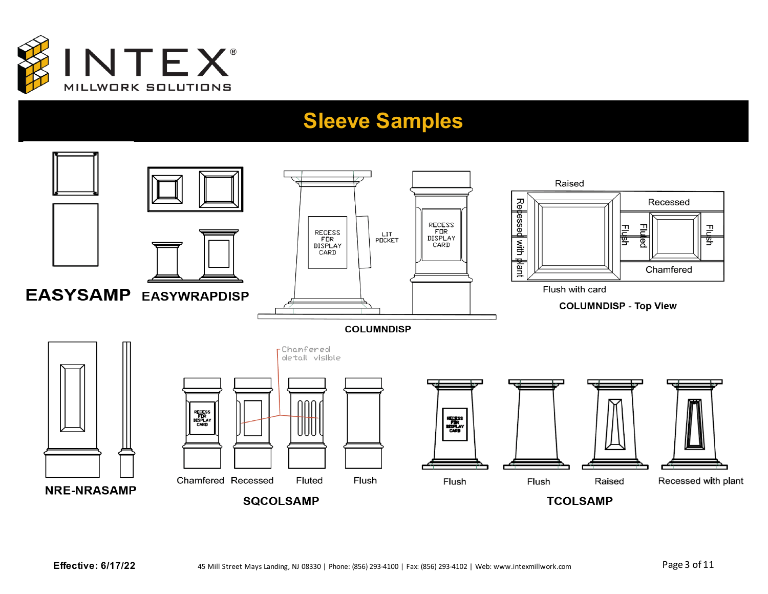

#### **Sleeve Samples**

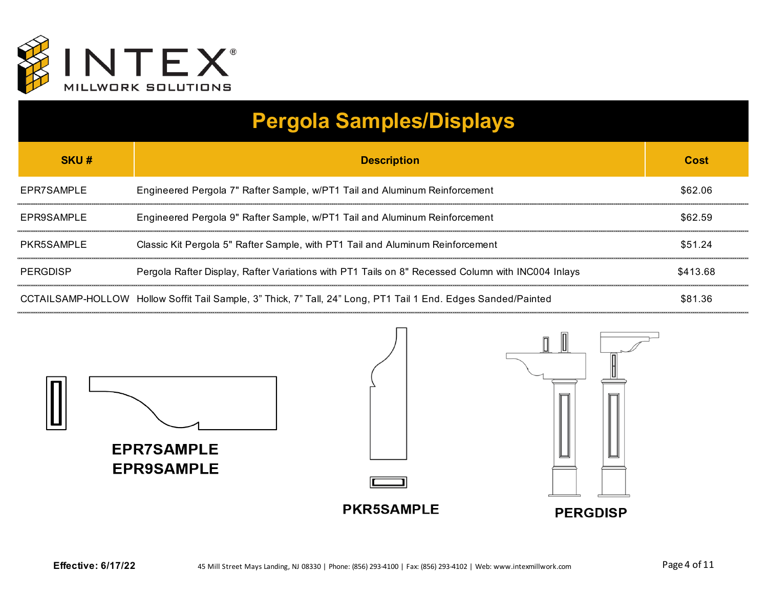

## **Pergola Samples/Displays**

| SKU#       | <b>Description</b>                                                                                             | Cost     |
|------------|----------------------------------------------------------------------------------------------------------------|----------|
| EPR7SAMPLE | Engineered Pergola 7" Rafter Sample, w/PT1 Tail and Aluminum Reinforcement                                     | \$62.06  |
| EPR9SAMPLE | Engineered Pergola 9" Rafter Sample, w/PT1 Tail and Aluminum Reinforcement                                     | \$62.59  |
| PKR5SAMPLE | Classic Kit Pergola 5" Rafter Sample, with PT1 Tail and Aluminum Reinforcement                                 | \$51.24  |
| PERGDISP   | Pergola Rafter Display, Rafter Variations with PT1 Tails on 8" Recessed Column with INC004 Inlays              | \$413.68 |
|            | CCTAILSAMP-HOLLOW Hollow Soffit Tail Sample, 3" Thick, 7" Tall, 24" Long, PT1 Tail 1 End. Edges Sanded/Painted | \$81.36  |

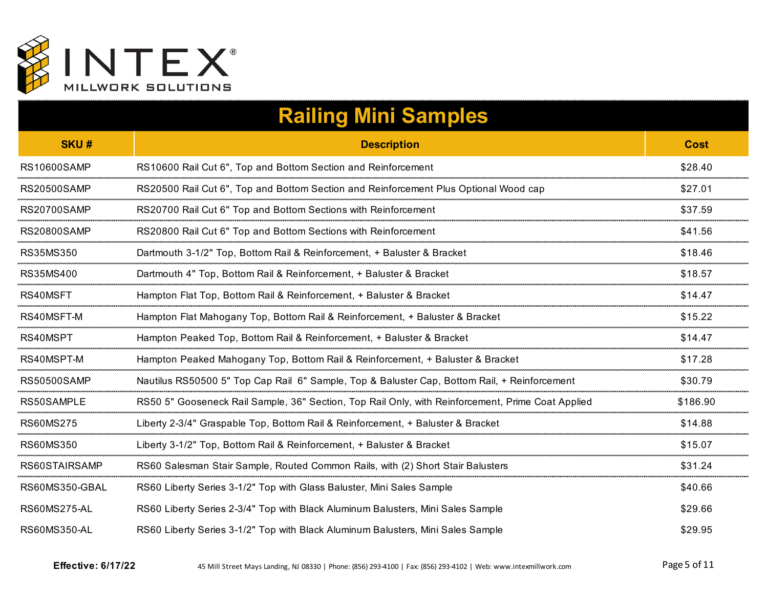

|                     | <b>Railing Mini Samples</b>                                                                       |             |
|---------------------|---------------------------------------------------------------------------------------------------|-------------|
| <b>SKU#</b>         | <b>Description</b>                                                                                | <b>Cost</b> |
| <b>RS10600SAMP</b>  | RS10600 Rail Cut 6", Top and Bottom Section and Reinforcement                                     | \$28.40     |
| <b>RS20500SAMP</b>  | RS20500 Rail Cut 6", Top and Bottom Section and Reinforcement Plus Optional Wood cap              | \$27.01     |
| <b>RS20700SAMP</b>  | RS20700 Rail Cut 6" Top and Bottom Sections with Reinforcement                                    | \$37.59     |
| <b>RS20800SAMP</b>  | RS20800 Rail Cut 6" Top and Bottom Sections with Reinforcement                                    | \$41.56     |
| RS35MS350           | Dartmouth 3-1/2" Top, Bottom Rail & Reinforcement, + Baluster & Bracket                           | \$18.46     |
| RS35MS400           | Dartmouth 4" Top, Bottom Rail & Reinforcement, + Baluster & Bracket                               | \$18.57     |
| RS40MSFT            | Hampton Flat Top, Bottom Rail & Reinforcement, + Baluster & Bracket                               | \$14.47     |
| RS40MSFT-M          | Hampton Flat Mahogany Top, Bottom Rail & Reinforcement, + Baluster & Bracket                      | \$15.22     |
| RS40MSPT            | Hampton Peaked Top, Bottom Rail & Reinforcement, + Baluster & Bracket                             | \$14.47     |
| RS40MSPT-M          | Hampton Peaked Mahogany Top, Bottom Rail & Reinforcement, + Baluster & Bracket                    | \$17.28     |
| <b>RS50500SAMP</b>  | Nautilus RS50500 5" Top Cap Rail 6" Sample, Top & Baluster Cap, Bottom Rail, + Reinforcement      | \$30.79     |
| RS50SAMPLE          | RS50 5" Gooseneck Rail Sample, 36" Section, Top Rail Only, with Reinforcement, Prime Coat Applied | \$186.90    |
| RS60MS275           | Liberty 2-3/4" Graspable Top, Bottom Rail & Reinforcement, + Baluster & Bracket                   | \$14.88     |
| <b>RS60MS350</b>    | Liberty 3-1/2" Top, Bottom Rail & Reinforcement, + Baluster & Bracket                             | \$15.07     |
| RS60STAIRSAMP       | RS60 Salesman Stair Sample, Routed Common Rails, with (2) Short Stair Balusters                   | \$31.24     |
| RS60MS350-GBAL      | RS60 Liberty Series 3-1/2" Top with Glass Baluster, Mini Sales Sample                             | \$40.66     |
| <b>RS60MS275-AL</b> | RS60 Liberty Series 2-3/4" Top with Black Aluminum Balusters, Mini Sales Sample                   | \$29.66     |
| <b>RS60MS350-AL</b> | RS60 Liberty Series 3-1/2" Top with Black Aluminum Balusters, Mini Sales Sample                   | \$29.95     |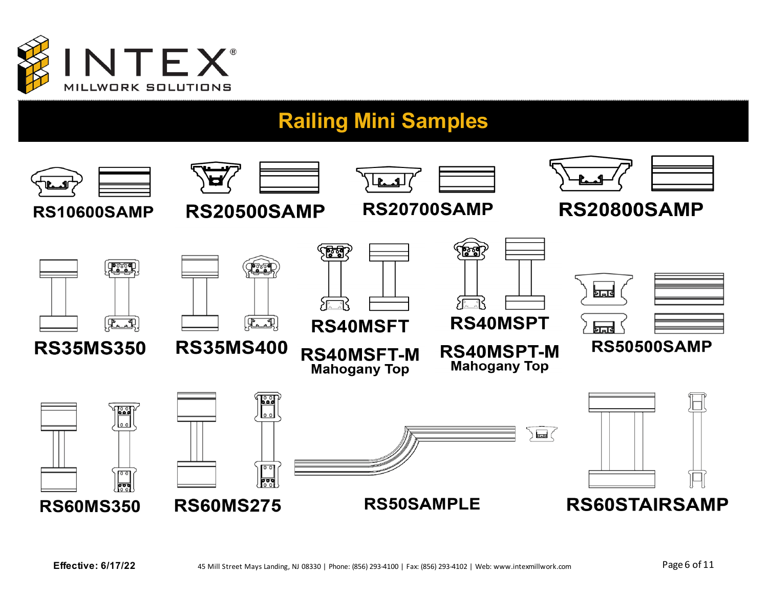

### **Railing Mini Samples**

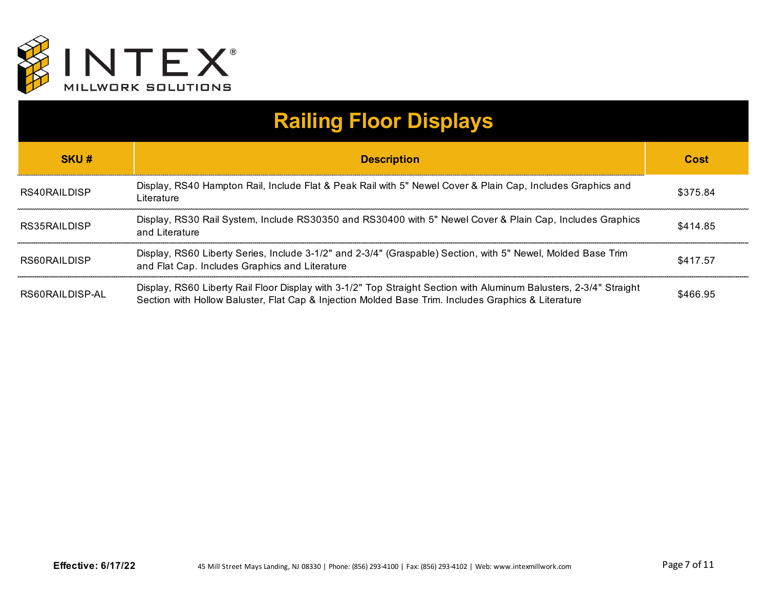

# **Railing Floor Displays**

| SKU#            | <b>Description</b>                                                                                                                                                                                                        | Cost     |
|-----------------|---------------------------------------------------------------------------------------------------------------------------------------------------------------------------------------------------------------------------|----------|
| RS40RAILDISP    | Display, RS40 Hampton Rail, Include Flat & Peak Rail with 5" Newel Cover & Plain Cap, Includes Graphics and<br>Literature                                                                                                 | \$375.84 |
| RS35RAILDISP    | Display, RS30 Rail System, Include RS30350 and RS30400 with 5" Newel Cover & Plain Cap, Includes Graphics<br>and Literature                                                                                               | \$414.85 |
| RS60RAILDISP    | Display, RS60 Liberty Series, Include 3-1/2" and 2-3/4" (Graspable) Section, with 5" Newel, Molded Base Trim<br>and Flat Cap. Includes Graphics and Literature                                                            | \$417.57 |
| RS60RAILDISP-AL | Display, RS60 Liberty Rail Floor Display with 3-1/2" Top Straight Section with Aluminum Balusters, 2-3/4" Straight<br>Section with Hollow Baluster, Flat Cap & Injection Molded Base Trim. Includes Graphics & Literature | \$466.95 |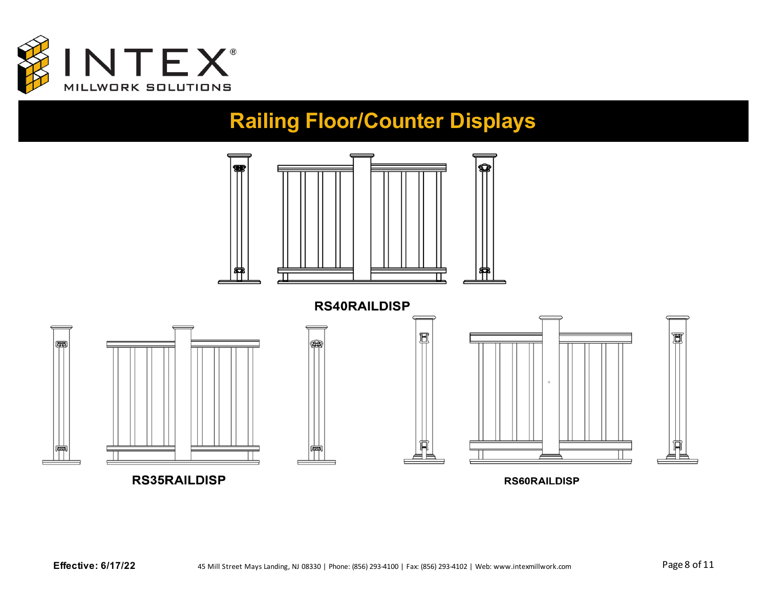

#### **Railing Floor/Counter Displays**

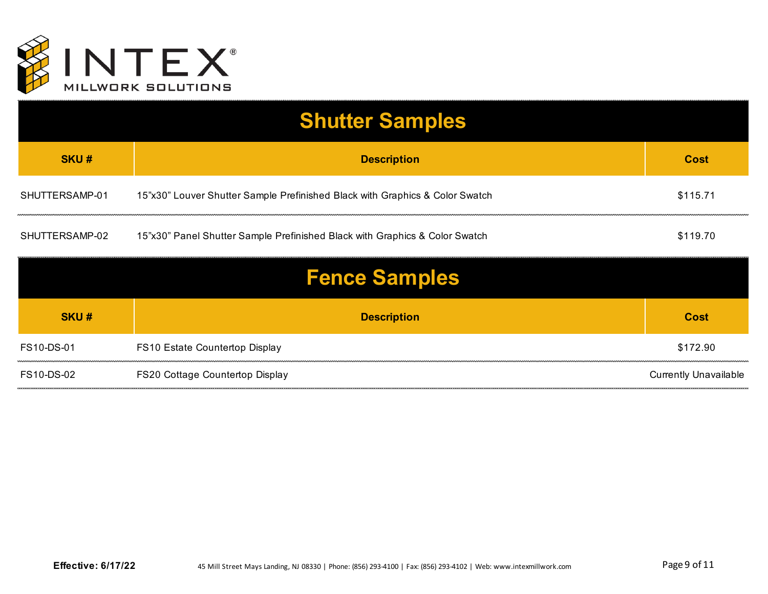

| <b>Shutter Samples</b> |                                                                              |             |
|------------------------|------------------------------------------------------------------------------|-------------|
| <b>SKU#</b>            | <b>Description</b>                                                           | <b>Cost</b> |
| SHUTTERSAMP-01         | 15"x30" Louver Shutter Sample Prefinished Black with Graphics & Color Swatch | \$115.71    |
| SHUTTERSAMP-02         | 15"x30" Panel Shutter Sample Prefinished Black with Graphics & Color Swatch  | \$119.70    |

| <b>Fence Samples</b> |                                 |                              |
|----------------------|---------------------------------|------------------------------|
| <b>SKU#</b>          | <b>Description</b>              | Cost                         |
| FS10-DS-01           | FS10 Estate Countertop Display  | \$172.90                     |
| FS10-DS-02           | FS20 Cottage Countertop Display | <b>Currently Unavailable</b> |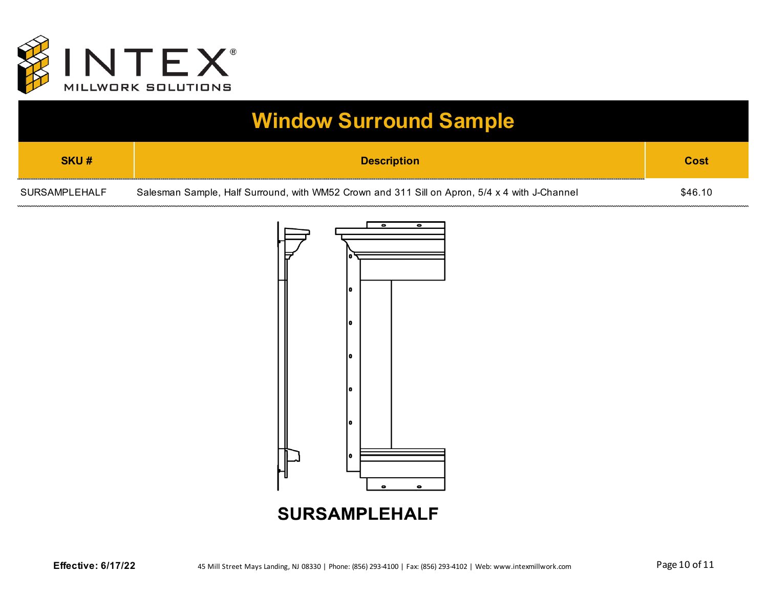

## **Window Surround Sample**

| SKU#          | <b>Description</b>                                                                            | Cost    |
|---------------|-----------------------------------------------------------------------------------------------|---------|
| SURSAMPLEHALF | Salesman Sample, Half Surround, with WM52 Crown and 311 Sill on Apron, 5/4 x 4 with J-Channel | \$46.10 |